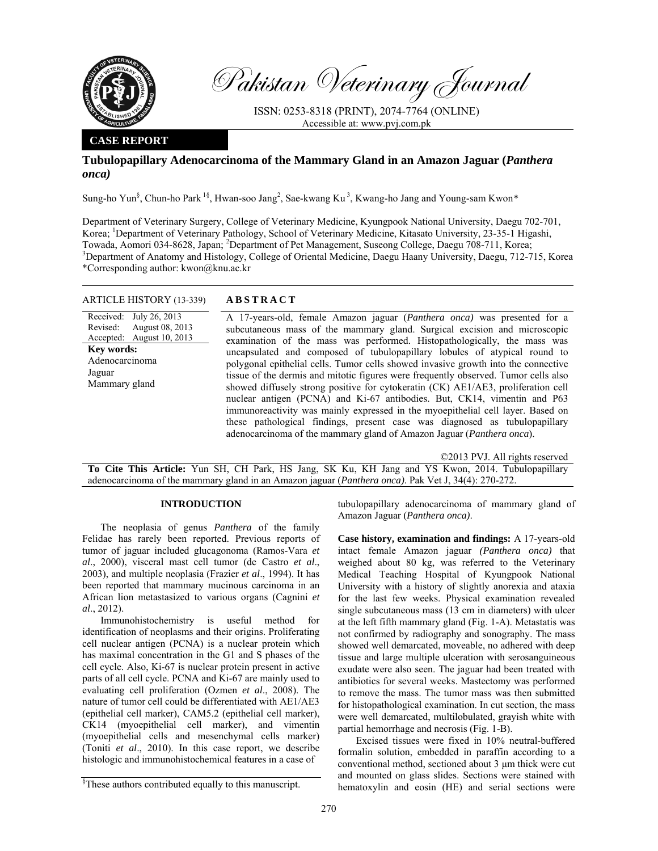

Pakistan Veterinary Journal

ISSN: 0253-8318 (PRINT), 2074-7764 (ONLINE) Accessible at: www.pvj.com.pk

## **CASE REPORT**

# **Tubulopapillary Adenocarcinoma of the Mammary Gland in an Amazon Jaguar (***Panthera onca)*

Sung-ho Yun§ , Chun-ho Park 1§, Hwan-soo Jang2 , Sae-kwang Ku 3, Kwang-ho Jang and Young-sam Kwon*\** 

Department of Veterinary Surgery, College of Veterinary Medicine, Kyungpook National University, Daegu 702-701, Korea; <sup>1</sup>Department of Veterinary Pathology, School of Veterinary Medicine, Kitasato University, 23-35-1 Higashi, Towada, Aomori 034-8628, Japan; <sup>2</sup>Department of Pet Management, Suseong College, Daegu 708-711, Korea; <sup>3</sup>Department of Anatomy and Histology, College of Oriental Medicine, Deceny Heavy University, Deceny 712, 7. <sup>3</sup>Department of Anatomy and Histology, College of Oriental Medicine, Daegu Haany University, Daegu, 712-715, Korea \*Corresponding author: kwon@knu.ac.kr

## ARTICLE HISTORY (13-339) **ABSTRACT**

Received: Revised: Accepted: July 26, 2013 August 08, 2013 August 10, 2013 **Key words:**  Adenocarcinoma Jaguar Mammary gland

 A 17-years-old, female Amazon jaguar (*Panthera onca)* was presented for a subcutaneous mass of the mammary gland. Surgical excision and microscopic examination of the mass was performed. Histopathologically, the mass was uncapsulated and composed of tubulopapillary lobules of atypical round to polygonal epithelial cells. Tumor cells showed invasive growth into the connective tissue of the dermis and mitotic figures were frequently observed. Tumor cells also showed diffusely strong positive for cytokeratin (CK) AE1/AE3, proliferation cell nuclear antigen (PCNA) and Ki-67 antibodies. But, CK14, vimentin and P63 immunoreactivity was mainly expressed in the myoepithelial cell layer. Based on these pathological findings, present case was diagnosed as tubulopapillary adenocarcinoma of the mammary gland of Amazon Jaguar (*Panthera onca*).

©2013 PVJ. All rights reserved

**To Cite This Article:** Yun SH, CH Park, HS Jang, SK Ku, KH Jang and YS Kwon, 2014. Tubulopapillary adenocarcinoma of the mammary gland in an Amazon jaguar (*Panthera onca)*. Pak Vet J, 34(4): 270-272.

### **INTRODUCTION**

The neoplasia of genus *Panthera* of the family Felidae has rarely been reported. Previous reports of tumor of jaguar included glucagonoma (Ramos-Vara *et al*., 2000), visceral mast cell tumor (de Castro *et al*., 2003), and multiple neoplasia (Frazier *et al*., 1994). It has been reported that mammary mucinous carcinoma in an African lion metastasized to various organs (Cagnini *et al*., 2012).

Immunohistochemistry is useful method for identification of neoplasms and their origins. Proliferating cell nuclear antigen (PCNA) is a nuclear protein which has maximal concentration in the G1 and S phases of the cell cycle. Also, Ki-67 is nuclear protein present in active parts of all cell cycle. PCNA and Ki-67 are mainly used to evaluating cell proliferation (Ozmen *et al*., 2008). The nature of tumor cell could be differentiated with AE1/AE3 (epithelial cell marker), CAM5.2 (epithelial cell marker), CK14 (myoepithelial cell marker), and vimentin (myoepithelial cells and mesenchymal cells marker) (Toniti *et al*., 2010). In this case report, we describe histologic and immunohistochemical features in a case of

tubulopapillary adenocarcinoma of mammary gland of Amazon Jaguar (*Panthera onca)*.

**Case history, examination and findings:** A 17-years-old intact female Amazon jaguar *(Panthera onca)* that weighed about 80 kg, was referred to the Veterinary Medical Teaching Hospital of Kyungpook National University with a history of slightly anorexia and ataxia for the last few weeks. Physical examination revealed single subcutaneous mass (13 cm in diameters) with ulcer at the left fifth mammary gland (Fig. 1-A). Metastatis was not confirmed by radiography and sonography. The mass showed well demarcated, moveable, no adhered with deep tissue and large multiple ulceration with serosanguineous exudate were also seen. The jaguar had been treated with antibiotics for several weeks. Mastectomy was performed to remove the mass. The tumor mass was then submitted for histopathological examination. In cut section, the mass were well demarcated, multilobulated, grayish white with partial hemorrhage and necrosis (Fig. 1-B).

Excised tissues were fixed in 10% neutral-buffered formalin solution, embedded in paraffin according to a conventional method, sectioned about 3 µm thick were cut and mounted on glass slides. Sections were stained with hematoxylin and eosin (HE) and serial sections were

<sup>§</sup> These authors contributed equally to this manuscript.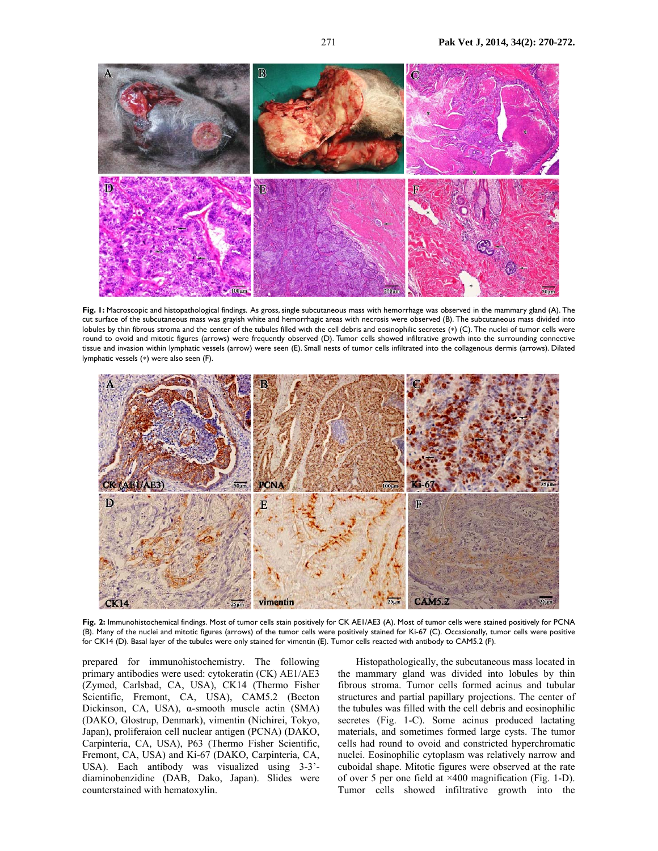

**Fig. 1:** Macroscopic and histopathological findings. As gross, single subcutaneous mass with hemorrhage was observed in the mammary gland (A). The cut surface of the subcutaneous mass was grayish white and hemorrhagic areas with necrosis were observed (B). The subcutaneous mass divided into lobules by thin fibrous stroma and the center of the tubules filled with the cell debris and eosinophilic secretes (∗) (C). The nuclei of tumor cells were round to ovoid and mitotic figures (arrows) were frequently observed (D). Tumor cells showed infiltrative growth into the surrounding connective tissue and invasion within lymphatic vessels (arrow) were seen (E). Small nests of tumor cells infiltrated into the collagenous dermis (arrows). Dilated lymphatic vessels (∗) were also seen (F).



**Fig. 2:** Immunohistochemical findings. Most of tumor cells stain positively for CK AE1/AE3 (A). Most of tumor cells were stained positively for PCNA (B). Many of the nuclei and mitotic figures (arrows) of the tumor cells were positively stained for Ki-67 (C). Occasionally, tumor cells were positive for CK14 (D). Basal layer of the tubules were only stained for vimentin (E). Tumor cells reacted with antibody to CAM5.2 (F).

prepared for immunohistochemistry. The following primary antibodies were used: cytokeratin (CK) AE1/AE3 (Zymed, Carlsbad, CA, USA), CK14 (Thermo Fisher Scientific, Fremont, CA, USA), CAM5.2 (Becton Dickinson, CA, USA), α-smooth muscle actin (SMA) (DAKO, Glostrup, Denmark), vimentin (Nichirei, Tokyo, Japan), proliferaion cell nuclear antigen (PCNA) (DAKO, Carpinteria, CA, USA), P63 (Thermo Fisher Scientific, Fremont, CA, USA) and Ki-67 (DAKO, Carpinteria, CA, USA). Each antibody was visualized using 3-3' diaminobenzidine (DAB, Dako, Japan). Slides were counterstained with hematoxylin.

Histopathologically, the subcutaneous mass located in the mammary gland was divided into lobules by thin fibrous stroma. Tumor cells formed acinus and tubular structures and partial papillary projections. The center of the tubules was filled with the cell debris and eosinophilic secretes (Fig. 1-C). Some acinus produced lactating materials, and sometimes formed large cysts. The tumor cells had round to ovoid and constricted hyperchromatic nuclei. Eosinophilic cytoplasm was relatively narrow and cuboidal shape. Mitotic figures were observed at the rate of over 5 per one field at ×400 magnification (Fig. 1-D). Tumor cells showed infiltrative growth into the